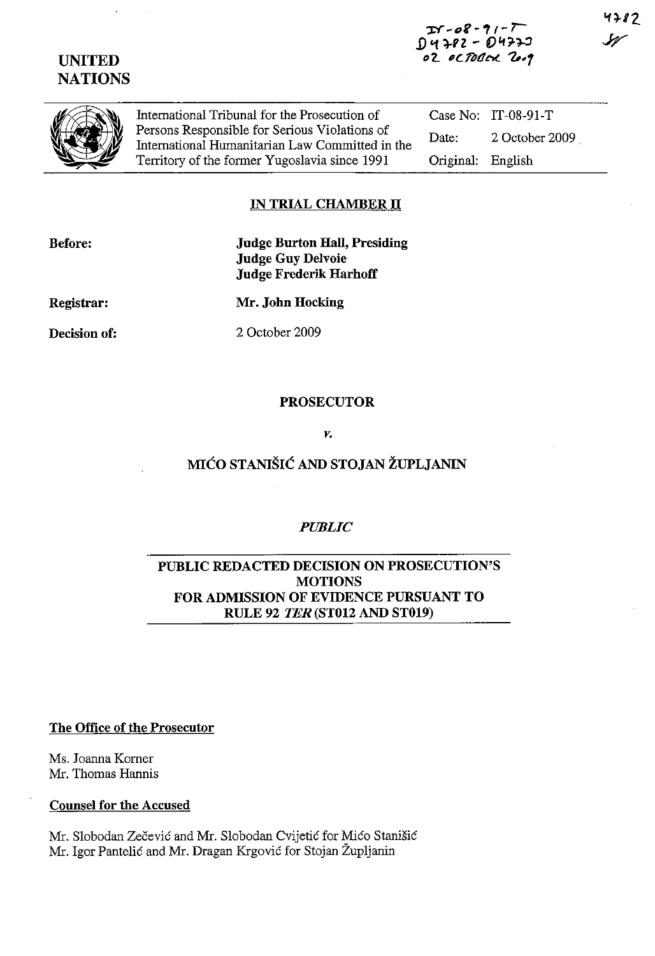# **UNITED NATIONS**

*:r:r* ~t:Jr -" - r-1) **'1 HZ - D"'n .. :l**  *"'2..* **I** *cflJ(!* **N.. 1,'1**  4782



International Tribunal for the Prosecution of Persons Responsible for Serious Violations of International Humanitarian Law Committed in the Territory of the former Yugoslavia since 1991

Case No: IT-08-91-T Date: 2 October 2009 Original: English

## **IN TRIAL CHAMBER IT**

**Before:** 

**Judge Burton Hall, Presiding Judge Guy Delvoie Judge Frederik Harhoff** 

**Registrar:** 

**Mr. John Hocking** 

**Decision of:** 

2 October 2009

### **PROSECUTOR**

*v.* 

# **MlCO STANISIC AND STOJAN ZUPLJANIN**

## *PUBLIC*

### **PUBLIC REDACTED DECISION ON PROSECUTION'S MOTIONS FOR ADMISSION OF EVIDENCE PURSUANT TO RULE 92** *TER* **(ST012 AND ST019)**

**The Office of the Prosecutor** 

Ms. Joanna Korner **Mr.** Thomas Hannis

### **Counsel for the Accused**

Mr. Slobodan Zecevic and Mr. Slobodan Cvijetic for Mico Stanisic Mr. Igor Pantelić and Mr. Dragan Krgović for Stojan Župljanin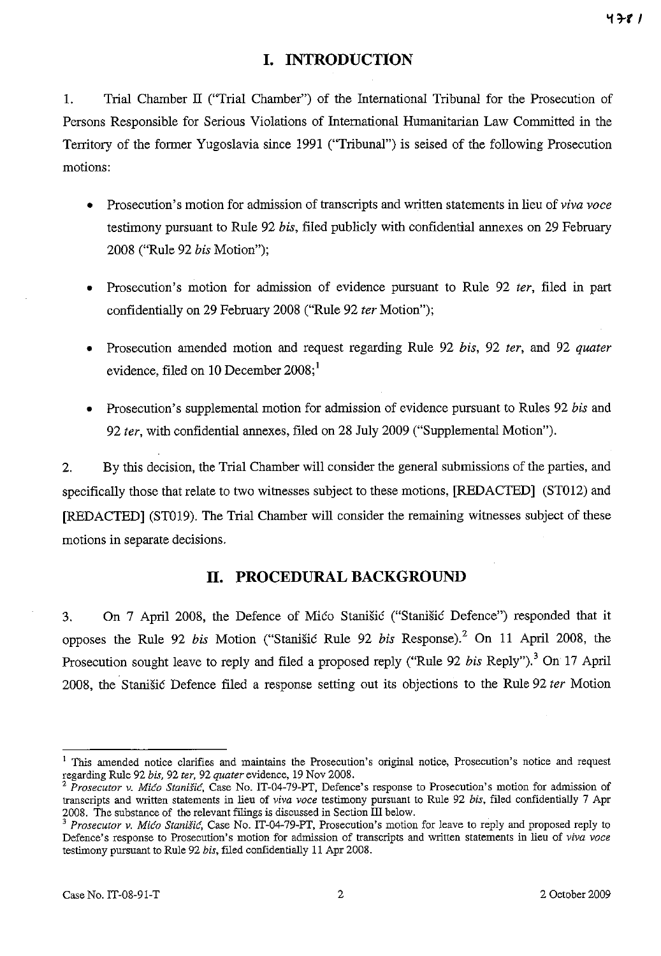## **I. INTRODUCTION**

1. Trial Chamber IT ("Trial Chamber") of the International Tribunal for the Prosecution of Persons Responsible for Serious Violations of International Humanitarian Law Committed in the Territory of the former Yugoslavia since 1991 ("Tribunal") is seised of the following Prosecution motions:

- Prosecution's motion for admission of transcripts and written statements in lieu of *viva voce*  testimony pursuant to Rule 92 *his,* filed publicly with confidential annexes on 29 February 2008 ("Rule 92 *his* Motion");
- Prosecution's motion for admission of evidence pursuant to Rule 92 *ter,* filed in part confidentially on 29 February 2008 ("Rule 92 *ter* Motion");
- Prosecution amended motion and request regarding Rule 92 *his,* 92 *ter,* and 92 *quater*  evidence, filed on 10 December  $2008$ ;<sup>1</sup>
- Prosecution's supplemental motion for admission of evidence pursuant to Rules 92 *his* and *92 ter,* with confidential annexes, filed on 28 July 2009 ("Supplemental Motion").

2. By this decision, the Trial Chamber will consider the general submissions of the parties, and specifically those that relate to two witnesses subject to these motions, [REDACTED] (STOI2) and [REDACTED] (ST019). The Trial Chamber will consider the remaining witnesses subject of these motions in separate decisions.

### **11. PROCEDURAL BACKGROUND**

3. On 7 April 2008, the Defence of Mico Stanisic ("Stanisic Defence") responded that it opposes the Rule 92 *his* Motion ("Stanisic Rule 92 *his* Response).2 On 11 April 2008, the Prosecution sought leave to reply and filed a proposed reply ("Rule 92 *bis* Reply").<sup>3</sup> On 17 April 2008, the Stanisic Defence filed a response setting out its objections to the Rule 92 *ter* Motion

<sup>&</sup>lt;sup>1</sup> This amended notice clarifies and maintains the Prosecution's original notice, Prosecution's notice and request regarding Rule 92 *bis.* 92 *ter.* 92 *quater* evidence, 19 Nov 2008.

*<sup>2</sup> Prosecutor v. Mica Stanisic,* Case No. IT-04-79-PT, Defence's response to Prosecution's motion for adntission of transcripts and written statements in lieu of *viva voce* testimony pursuant to Rule 92 *bis.* filed confidentially 7 Apr 2008. The substance of the relevant filings is discussed in Section III below.

<sup>3</sup>*Prosecutor v. Mica Stanisic,* Case No. IT-04-79-PT, Prosecution's motion for leave to reply and proposed reply to Defence's response to Prosecution's motion for admission of transcripts and written statements in lieu of *viva voce* testimony pursuant to Rule 92 *bis,* filed confidentially 11 Apr 2008.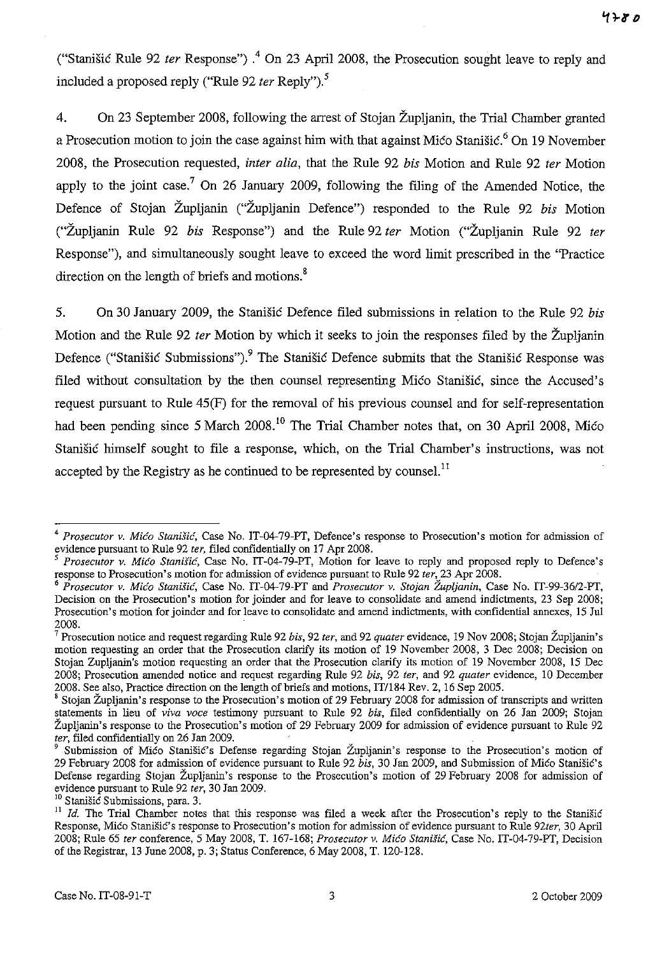("Stanisic Rule 92 *ter* Response") .4 On 23 April 2008, the Prosecution sought leave to reply and included a proposed reply ("Rule 92 *ter* Reply").<sup>5</sup>

4. On 23 September 2008, following the arrest of Stojan Zupljanin, the Trial Chamber granted a Prosecution motion to join the case against him with that against Mico Stanistic.<sup>6</sup> On 19 November 2008, the Prosecution requested, *inter alia,* that the Rule 92 *his* Motion and Rule 92 *ter* Motion apply to the joint case.<sup>7</sup> On 26 January 2009, following the filing of the Amended Notice, the Defence of Stojan Zupljanin ("Zupljanin Defence") responded to the Rule 92 *his* Motion C"Zupljanin Rule 92 *his* Response") and the Rule 92 *ter* Motion C"Zupljanin Rule 92 *ter*  Response"), and simultaneously sought leave to exceed the word limit prescribed in the "Practice direction on the length of briefs and motions.<sup>8</sup>

5. On 30 January 2009, the Stanisic Defence filed submissions in relation to the Rule 92 *his*  Motion and the Rule 92 *ter* Motion by which it seeks to join the responses filed by the Zupljanin Defence ("Stanišić Submissions").<sup>9</sup> The Stanišić Defence submits that the Stanišić Response was filed without consultation by the then counsel representing Mico Stanisic, since the Accused's request pursuant to Rule 45(F) for the removal of his previous counsel and for self-representation had been pending since 5 March 2008.<sup>10</sup> The Trial Chamber notes that, on 30 April 2008, Mico Stanisic himself sought to file a response, which, on the Trial Chamber's instructions, was not accepted by the Registry as he continued to be represented by counsel.<sup>11</sup>

<sup>10</sup> Stanišić Submissions, para. 3.

<sup>4</sup>*Prosecutor* v. *Mica Stanific,* Case No. IT-04-79-PT, Defence's response to Prosecution's motion for admission of evidence pursuant to Rule 92 *ter,* filed confidentially on 17 Apr 200S.

*<sup>5</sup> Prosecutor* v. *Mica Stanisic,* Case No. IT-04-79-PT, Motion for leave to reply and proposed reply to Defence's response to Prosecution's motion for admission of evidence pursuant to Rule 92 *ter,* 23 Apr 2oos.

*<sup>6</sup> Prosecutor* v. *Mica Stanisic,* Case No. IT-04-79-PT and *Prosecutor* v. *Stojan Zupljanin,* Case No. IT-99-36/2-PT, Decision on the Prosecution's motion for joinder and for leave to consolidate and amend indictments, 23 Sep 200S; **Prosecution's motion for joinder and for leave to consolidate and amend indictments, with confidential annexes, 15 Ju1**  200S.

<sup>7</sup> Prosecution notice and request regarding Rule 92 *bis,* 92 *ter,* and 92 *quater* evidence, 19 Nov 200S; Stojan Zupljanin's motion requesting an order that the Prosecution clarify its motion of 19 November 200S, 3 Dec 200S; Decision on Stojan Zupljanin's motion requesting an order that the Prosecution clarify its motion of 19 November 200S, IS Dec 200S; Prosecution amended notice and request regarding Rule 92 *bis,* 92 *ter,* and 92 *quater* evidence, 10 December 2008. See also, Practice direction on the length of briefs and motions, IT/184 Rev. 2, 16 Sep 2005.

<sup>&</sup>lt;sup>8</sup> Stojan Župljanin's response to the Prosecution's motion of 29 February 2008 for admission of transcripts and written statements in lieu of *viva voce* testimony pursuant to Rule 92 *bis,* filed confidentially on 26 Jan 2009; Stojan Župljanin's response to the Prosecution's motion of 29 February 2009 for admission of evidence pursuant to Rule 92 *ter*, filed confidentially on 26 Jan 2009.

Submission of Mico Stanišic's Defense regarding Stojan Župljanin's response to the Prosecution's motion of 29 February 200S for admission of evidence pursuant to Rule 92 *bis,* 30 Jan 2009, and Submission of Mico StanisiC's Defense regarding Stojan Zupljanin's response to the Prosecution's motion of 29 February 200S for admission of evidence pursuant to Rule 92 *ter,* 30 Jan 2009.

<sup>&</sup>lt;sup>11</sup> Id. The Trial Chamber notes that this response was filed a week after the Prosecution's reply to the Stanišić Response, Mico StaniSic's response to Prosecution's motion for admission of evidence pursuant to Rule *92ter,* 30 April 200S; Rule 65 *ter* conference,S May 200S, T. 167-16S; *Prosecutor* v. *Mica Stanisic,* Case No. IT-04-79-PT, Decision of the Registrar, 13 June 200S, p. 3; Status Conference, 6 May 200S, T. 120-12S.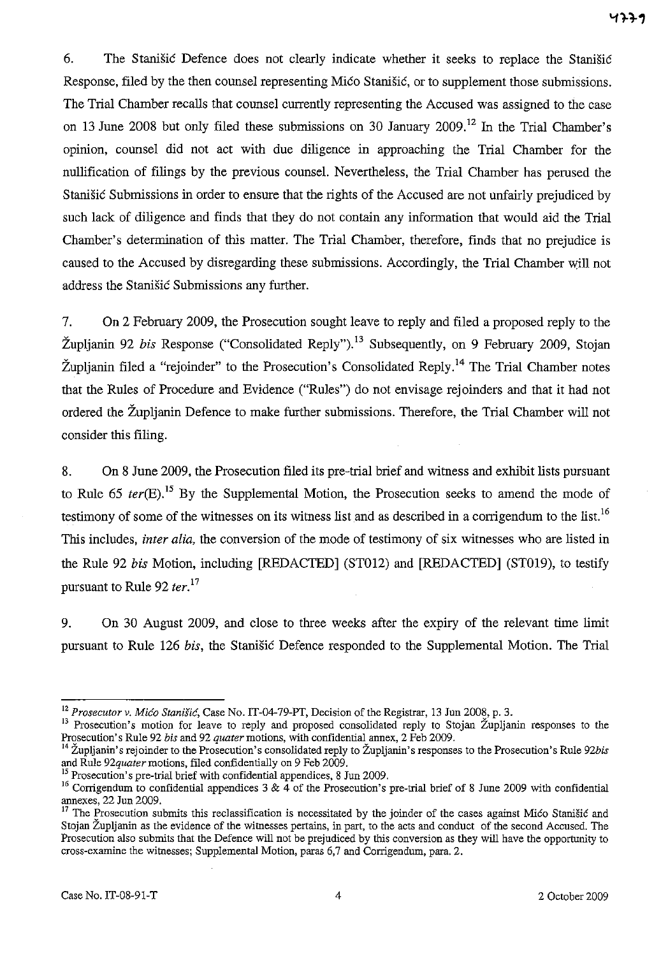6. The Stanisic Defence does not clearly indicate whether it seeks to replace the Stanisic Response, filed by the then counsel representing Mico Stanisic, or to supplement those submissions. The Trial Chamber recalls that counsel currently representing the Accused was assigned to the case on 13 June 2008 but only filed these submissions on 30 January 2009.<sup>12</sup> In the Trial Chamber's opinion, counsel did not act with due diligence in approaching the Trial Chamber for the nullification of filings by the previous counsel. Nevertheless, the Trial Chamber has perused the Stanišić Submissions in order to ensure that the rights of the Accused are not unfairly prejudiced by such lack of diligence and finds that they do not contain any information that would aid the Trial Chamber's determination of this matter. The Trial Chamber, therefore, finds that no prejudice is caused to the Accused by disregarding these submissions. Accordingly, the Trial Chamber Will not address the Stanisic Submissions any further.

7. On 2 February 2009, the Prosecution sought leave to reply and filed a proposed reply to the Župlianin 92 *bis* Response ("Consolidated Reply"),<sup>13</sup> Subsequently, on 9 February 2009, Stojan Župlianin filed a "rejoinder" to the Prosecution's Consolidated Reply.<sup>14</sup> The Trial Chamber notes that the Rules of Procedure and Evidence ("Rules") do not envisage rejoinders and that it had not ordered the Zupljanin Defence to make further submissions. Therefore, the Trial Chamber will not consider this filing.

8. On 8 June 2009, the Prosecution filed its pre-trial brief and witness and exhibit lists pursuant to Rule 65 *ter(E).15* By the Supplemental Motion, the Prosecution seeks to amend the mode of testimony of some of the witnesses on its witness list and as described in a corrigendum to the list.<sup>16</sup> This includes, *inter alia,* the conversion of the mode of testimony of six witnesses who are listed in the Rule 92 bis Motion, including [REDACTED] (ST012) and [REDACTED] (ST019), to testify pursuant to Rule 92 *ter*.<sup>17</sup>

9. On 30 August 2009, and close to three weeks after the expiry of the relevant time limit pursuant to Rule 126 his, the Stanisic Defence responded to the Supplemental Motion. The Trial

<sup>12</sup>*Prosecutor v. Mica Stanisic,* Case No. IT-04-79-PT, Decision of the Registrar, l3 Jun 2008, p. 3.

<sup>&</sup>lt;sup>13</sup> Prosecution's motion for leave to reply and proposed consolidated reply to Stojan Župljanin responses to the Prosecution's Rule 92 *bis* and 92 *quatermotions,* with confidential annex, 2 Feb 2009.

<sup>14</sup> Zupljanin's rejoinder to the Prosecution's consolidated reply to Zupljanin's responses to the Prosecution's Rule *92bis*  and Rule *92quatermotions,* filed confidentially on 9 Feb 2009.

 $<sup>5</sup>$  Prosecution's pre-trial brief with confidential appendices, 8 Jun 2009.</sup>

<sup>&</sup>lt;sup>16</sup> Corrigendum to confidential appendices  $3 \& 4$  of the Prosecution's pre-trial brief of 8 June 2009 with confidential annexes, 22 Jun 2009.

 $17$  The Prosecution submits this reclassification is necessitated by the joinder of the cases against Mico Stanišic and Stojan Zupljanin as the evidence of the witnesses pertains, in part, to the acts and conduct of the second Accused. The Prosecution also submits that the Defence will not be prejudiced by this conversion as they will have the opportunity to cross-examine the witnesses; Supplemental Motion, paras 6,7 and Corrigendum, para. 2.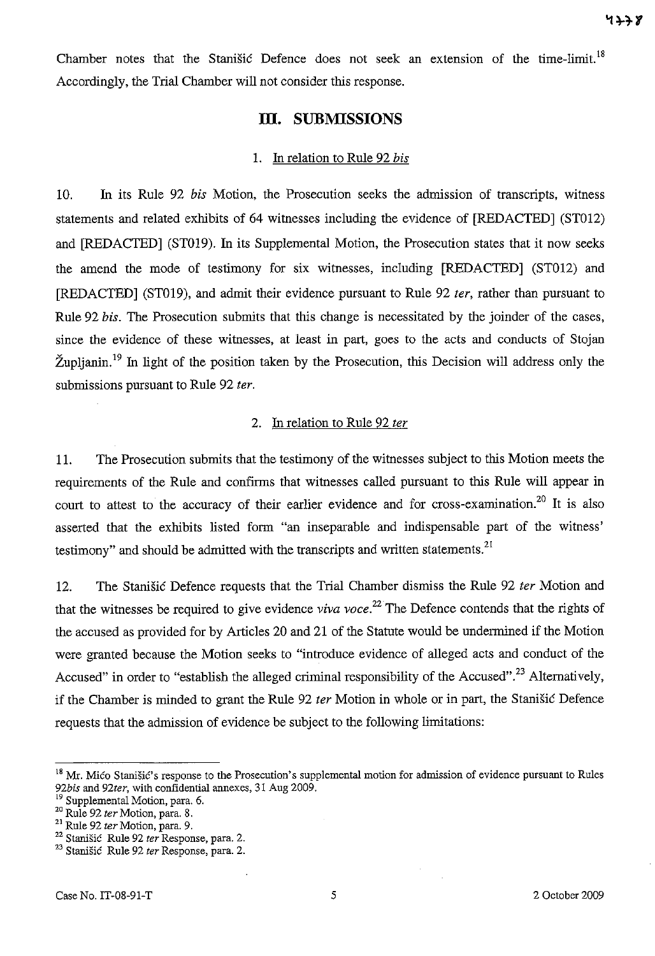Chamber notes that the Stanisic Defence does not seek an extension of the time-limit.<sup>18</sup> Accordingly, the Trial Chamber will not consider this response.

# **Ill. SUBMISSIONS**

#### 1. In relation to Rule 92 *bis*

10. In its Rule 92 *bis* Motion, the Prosecution seeks the admission of transcripts, witness statements and related exhibits of 64 witnesses including the evidence of [REDACTED] (STOI2) and [REDACTED] (ST019). In its Supplemental Motion, the Prosecution states that it now seeks the amend the mode of testimony for six witnesses, including [REDACTED] (STOI2) and [REDACTED] (ST019), and admit their evidence pursuant to Rule 92 *ter*, rather than pursuant to Rule 92 *bis.* The Prosecution submits that this change is necessitated by the joinder of the cases, since the evidence of these witnesses, at least in part, goes to the acts and conducts of Stojan Župlianin.<sup>19</sup> In light of the position taken by the Prosecution, this Decision will address only the submissions pursuant to Rule 92 ter.

#### 2. In relation to Rule 92 ter

11. The Prosecution submits that the testimony of the witnesses subject to this Motion meets the requirements of the Rule and confirms that witnesses called pursuant to this Rule will appear in court to attest to the accuracy of their earlier evidence and for cross-examination.<sup>20</sup> It is also asserted that the exhibits listed form "an inseparable and indispensable part of the witness' testimony" and should be admitted with the transcripts and written statements.<sup>21</sup>

12. The Stanišić Defence requests that the Trial Chamber dismiss the Rule 92 ter Motion and that the witnesses be required to give evidence *viva voce*.<sup>22</sup> The Defence contends that the rights of the accused as provided for by Articles 20 and 21 of the Statute would be undermined if the Motion were granted because the Motion seeks to "introduce evidence of alleged acts and conduct of the Accused" in order to "establish the alleged criminal responsibility of the Accused".<sup>23</sup> Alternatively, if the Chamber is minded to grant the Rule 92 *ter* Motion in whole or in part, the Stanišić Defence requests that the admission of evidence be subject to the following limitations:

<sup>&</sup>lt;sup>18</sup> Mr. Mico Stanišic's response to the Prosecution's supplemental motion for admission of evidence pursuant to Rules *92bis* and *92ter,* with confidential annexes, 31 Aug 2009.

Supplemental Motion, para. 6.

<sup>20</sup> Rule 92 *ter* Motion, para. S.

<sup>01</sup> Rule 92 *ter* Motion, para. 9.

<sup>&</sup>lt;sup>22</sup> Stanišić Rule 92 *ter* Response, para. 2.

<sup>&</sup>lt;sup>23</sup> Stanišić Rule 92 *ter* Response, para. 2.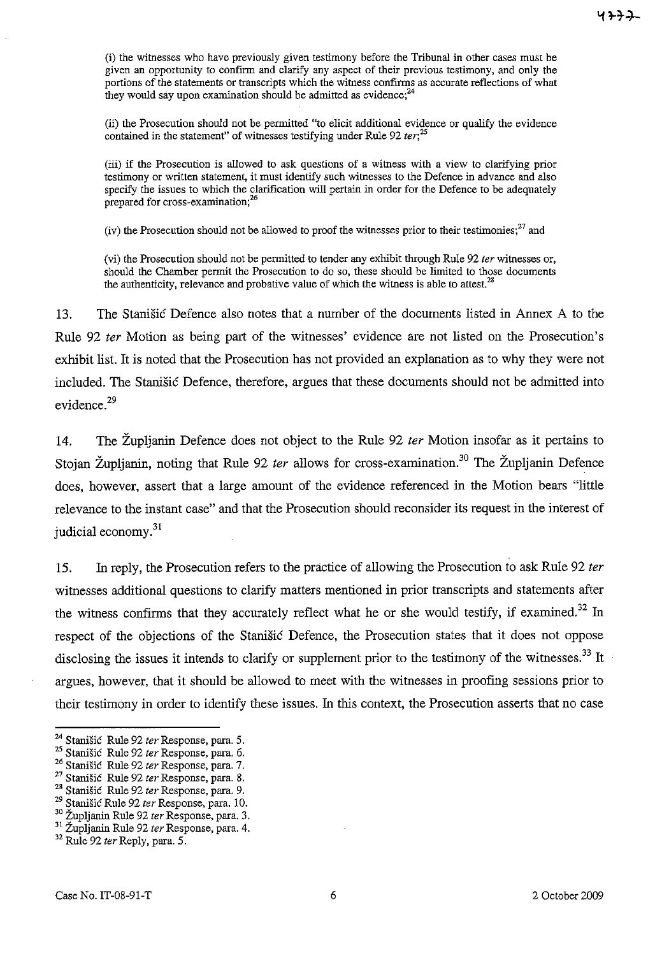(i) the witnesses who have previously given testimony before the Tribunal in other cases must be given an opportunity to confirm and clarify any aspect of their previous testimony, and only the portions of the statements or transcripts which the witness confirms as accurate reflections of what they would say upon examination should be admitted as evidence;  $^{24}$ 

(ii) the Prosecution should not be permitted "to elicit additional evidence or qualify the evidence contained in the statement" of witnesses testifying under Rule 92 *ter*;<sup>25</sup>

(iii) if the Prosecution is allowed to ask questions of a witness with a view to clarifying prior testimony or written statement, it must identify such witnesses to the Defence in advance and also specify the issues to which the clarification will pertain in order for the Defence to be adequately **prepared for cross-examination;26** 

(iv) the Prosecution should not be allowed to proof the witnesses prior to their testimonies; $^{27}$  and

(vi) the Prosecution should not be permitted to tender any exhibit through Rule 92 *ter* witnesses or, should the Chamber permit the Prosecution to do so, these should be limited to those documents the authenticity, relevance and probative value of which the witness is able to attest. $^{28}$ 

13. The Stanišić Defence also notes that a number of the documents listed in Annex A to the Rule 92 fer Motion as being part of the witnesses' evidence are not listed on the Prosecution's exhibit list. It is noted that the Prosecution has not provided an explanation as to why they were not included. The Stanisic Defence, therefore, argues that these documents should not be admitted into evidence.<sup>29</sup>

14. The Župlianin Defence does not object to the Rule 92 *ter* Motion insofar as it pertains to Stojan Župljanin, noting that Rule 92 *ter* allows for cross-examination.<sup>30</sup> The Župljanin Defence does, however, assert that a large amount of the evidence referenced in the Motion bears "little relevance to the instant case" and that the Prosecution should reconsider its request in the interest of judicial economy.<sup>31</sup>

15. In reply, the Prosecution refers to the practice of allowing the Prosecution to ask Rule 92 ter witnesses additional questions to clarify matters mentioned in prior transcripts and statements after the witness confirms that they accurately reflect what he or she would testify, if examined.<sup>32</sup> In respect of the objections of the Stanisic Defence, the Prosecution states that it does not oppose disclosing the issues it intends to clarify or supplement prior to the testimony of the witnesses.<sup>33</sup> It argues, however, that it should be allowed to meet with the witnesses in proofing sessions prior to their testimony in order to identify these issues. In this context, the Prosecution asserts that no case

<sup>24</sup> StaniSic Rule 92 *ter* Response, para. 5.

<sup>25</sup> Stanisic Rule 92 *ter* Response, para. 6.

<sup>&</sup>lt;sup>26</sup> Stanišić Rule 92 *ter* Response, para. 7.

<sup>&</sup>lt;sup>27</sup> Stanišić Rule 92 *ter* Response, para. 8.

<sup>28</sup> Stanisic Rule 92 *ter* Response, para. 9.

<sup>29</sup> Stanisic Rule 92 *ter* Response, para. 10.

<sup>30</sup> Zupljanin Rule 92 *ter* Response, para. 3.

<sup>31</sup> Zupljanin Rule 92 *ter* Response, para. 4.

<sup>32</sup> Rule 92 *terReply,* para. 5.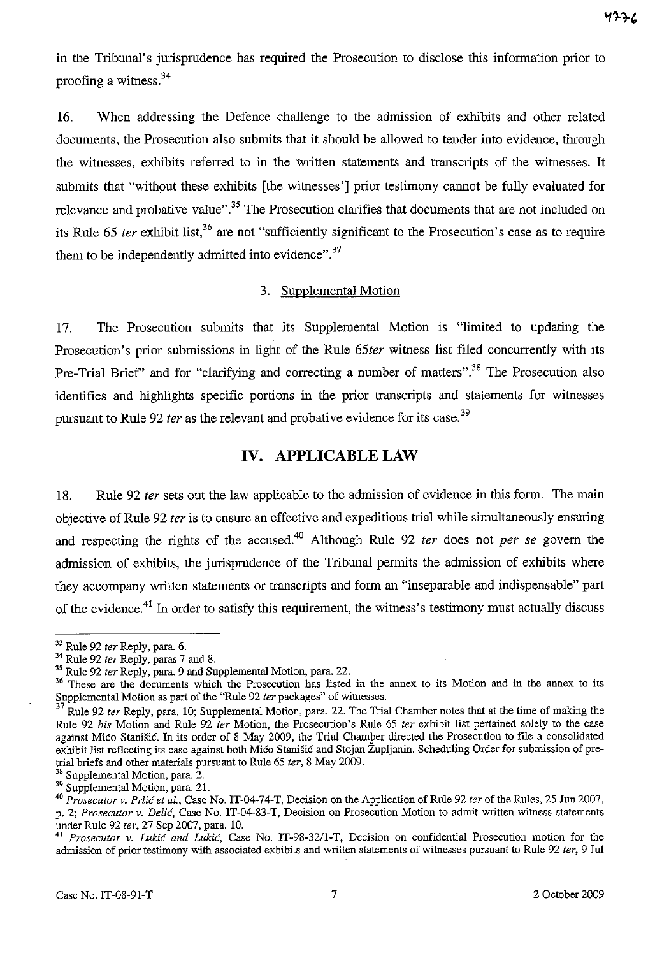in the Tribunal's jurisprudence has required the Prosecution to disclose this information prior to proofing a witness.<sup>34</sup>

16. When addressing the Defence challenge to the admission of exhibits and other related documents, the Prosecution also submits that it should be allowed to tender into evidence, through the witnesses, exhibits referred to in the written statements and transcripts of the witnesses. It submits that "without these exhibits [the witnesses'] prior testimony cannot be fully evaluated for relevance and probative value".<sup>35</sup> The Prosecution clarifies that documents that are not included on its Rule 65 *ter* exhibit list,<sup>36</sup> are not "sufficiently significant to the Prosecution's case as to require them to be independently admitted into evidence".<sup>37</sup>

### 3. Supplemental Motion

17. The Prosecution submits that its Supplemental Motion is "limited to updating the Prosecution's prior submissions in light of the Rule 65ter witness list filed concurrently with its Pre-Trial Brief" and for "clarifying and correcting a number of matters".<sup>38</sup> The Prosecution also identifies and highlights specific portions in the prior transcripts and statements for witnesses pursuant to Rule 92 *ter* as the relevant and probative evidence for its case.<sup>39</sup>

### **IV. APPLICABLE LAW**

18. Rule 92 ter sets out the law applicable to the admission of evidence in this form. The main objective of Rule 92 fer is to ensure an effective and expeditious trial while simultaneously ensuring and respecting the rights of the accused.<sup>40</sup> Although Rule 92 ter does not per se govern the admission of exhibits, the jurisprudence of the Tribunal permits the admission of exhibits where they accompany written statements or transcripts and form an "inseparable and indispensable" part of the evidence.<sup>41</sup> In order to satisfy this requirement, the witness's testimony must actually discuss

<sup>33</sup> Rule 92 *ler* Reply, para. 6.

<sup>34</sup> Rule 92 *ler* Reply, paras 7 and 8.

<sup>35</sup> Rule 92 *ler* Reply, para. 9 and Supplemeutal Motiou, para. 22.

<sup>&</sup>lt;sup>36</sup> These are the documents which the Prosecution has listed in the annex to its Motion and in the annex to its Supplemental Motion as part of the "Rule 92 *ter* packages" of witnesses.<br><sup>37</sup> Rule 92 *ter* Party acres 10 C

<sup>37</sup> Rule 92 *ler* Reply, para. 10; SUpplemental Motion, para. 22. The Trial Chamber notes that at the time of making the Rule 92 *bis* Motion and Rule 92 *ler* Motion, the Prosecution's Rule 65 *ler* exhibit list pertained solely to the case against Mico Stauisic. In its order of 8 May 2009, the Trial Chamber directed the Prosecution to file a consolidated exhibit list reflecting its case against both Mico Stanišic and Stojan Župljanin. Scheduling Order for submission of pretrial briefs and other materials pursuant to Rule 65 *ler,* 8 May 2009.

<sup>38</sup> Supplemental Motion, para. 2.

<sup>39</sup> Supplemental Motion, para. 21.

*<sup>40</sup> Prosecutor v. Prlic et al.,* Case No. IT-04-74-T, Decision on the Application of Rule 92 *ter* of the Rules, 25 Jun 2007, p. 2; *Prosecutor v. Delic,* Case No. IT-04-83-T, Decision on Prosecution Motion to admit written witness statements under Rule 92 *ter,* 27 Sep 2007, para. 10.

*<sup>41</sup> Prosecutor v. Lukic and Lukic,* Case No. IT-98-32/l-T, Decision on confidential Prosecution motion for the admission of prior testimony with associated exhibits and written statements of witnesses pursuant to Rule 92 *ter,* 9 Jul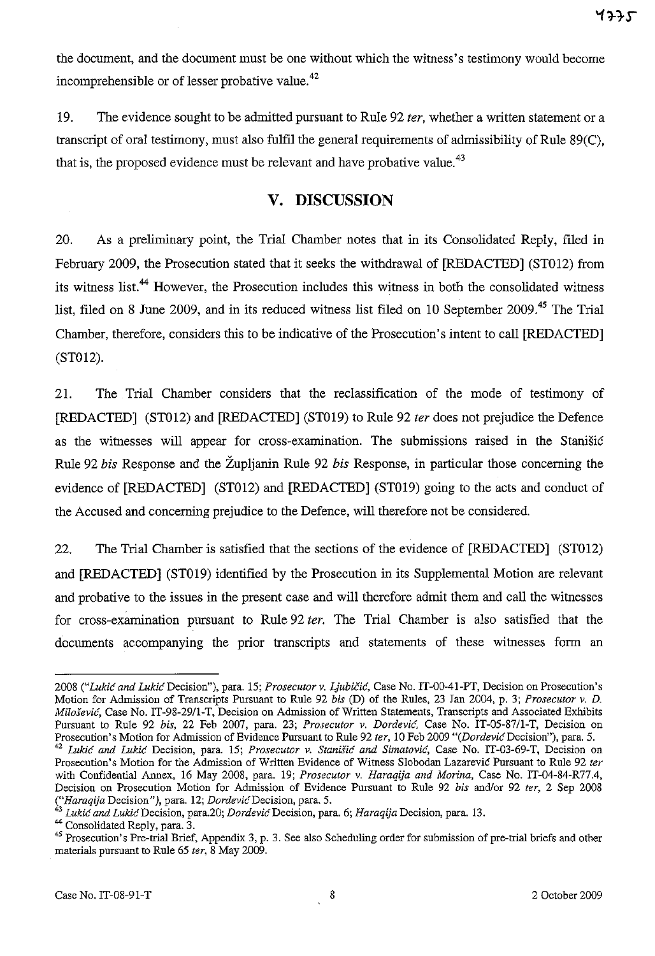the document, and the document must be one without which the witness's testimony would become incomprehensible or of lesser probative value.<sup>42</sup>

19. The evidence sought to be admitted pursuant to Rule 92 *ter,* whether a written statement or a transcript of oral testimony, must also fulfil the general requirements of admissibility of Rule 89(C), that is, the proposed evidence must be relevant and have probative value.<sup>43</sup>

# **v. DISCUSSION**

20. As a preliminary point, the Trial Chamber notes that in its Consolidated Reply, filed in February 2009, the Prosecution stated that it seeks the withdrawal of **[REDACTED]** (ST012) from its witness list.<sup>44</sup> However, the Prosecution includes this witness in both the consolidated witness list, filed on 8 June 2009, and in its reduced witness list filed on 10 September 2009.<sup>45</sup> The Trial Chamber, therefore, considers this to be indicative of the Prosecution's intent to call **[REDACTED]**  (ST012).

21. The Trial Chamber considers that the reclassification of the mode of testimony of **[REDACTED]** (ST012) and **[REDACTED]** (ST019) to Rule 92 *ter* does not prejudice the Defence as the witnesses will appear for cross-examination. The submissions raised in the Stanisic Rule 92 *his* Response and the Župljanin Rule 92 *his* Response, in particular those concerning the evidence of **[REDACTED]** (ST012) and **[REDACTED]** (ST019) going to the acts and conduct of the Accused and concerning prejudice to the Defence, will therefore not be considered.

22. The Trial Chamber is satisfied that the sections of the evidence of **[REDACTED]** (ST012) and **[REDACTED]** (ST019) identified by the Prosecution in its Supplemental Motion are relevant and probative to the issues in the present case and will therefore admit them and call the witnesses for cross-examination pursuant to Rule 92 *ter.* The Trial Chamber is also satisfied that the documents accompanying the prior transcripts and statements of these witnesses form an

*<sup>2008 (&</sup>quot;Lukie and LukieDecision"),* para. 15; *Prosecutor* v. *LjubiCie,* Case No. IT-00-41-PT, Decision on Prosecution's Motion for Admission of Transcripts Pursuant to Rule 92 *bis* (D) of the Rules, 23 Jan 2004, p. 3; *Prosecutor* v. *D. Milosevie,* Case No. IT-98-29/l-T, Decision on Admission of Written Statements, Transcripts and Associated Exhibits Pursuant to Rule 92 *bis,* 22 Feb 2007, para. 23; *Prosecutor* v. *Dordevie,* Case No. IT-05-87/1-T, Decision on Prosecution's Motion for Admission of Evidence Pursuant to Rule 92 *ter*, 10 Feb 2009 "(*Dordević* Decision''), para. 5. *42 Lukic and Lukic* Decision, para. 15; *Prosecutor* v. *Stanisic and Simatovic,* Case No. IT-03-69-T, Decision on

Prosecution's Motion for the Admission of Written Evidence of Witness Slobodan Lazarevic Pursuant to Rule 92 *ter*  with Confidential Annex, 16 May 2008, para. 19; *Prosecutor* v. *Haraqija and Morina,* Case No. IT-04-84-R77.4, Decision on Prosecution Motion for Admission of Evidence Pursuant to Rule 92 *bis* and/or 92 *ter,* 2 Sep 2008 *("Haraqija* Decision"), para. 12; *DordevicDecision,* para. 5.

*<sup>43</sup> Lukic and LukicDecision,* para.20; *DordevicDecision,* para. 6; *Haraqija* Decision, para. 13.

<sup>44</sup> Consolidated Reply, para. 3.

<sup>&</sup>lt;sup>45</sup> Prosecution's Pre-trial Brief, Appendix 3, p. 3. See also Scheduling order for submission of pre-trial briefs and other materials pursuant to Rule 65 *ter,* 8 May 2009.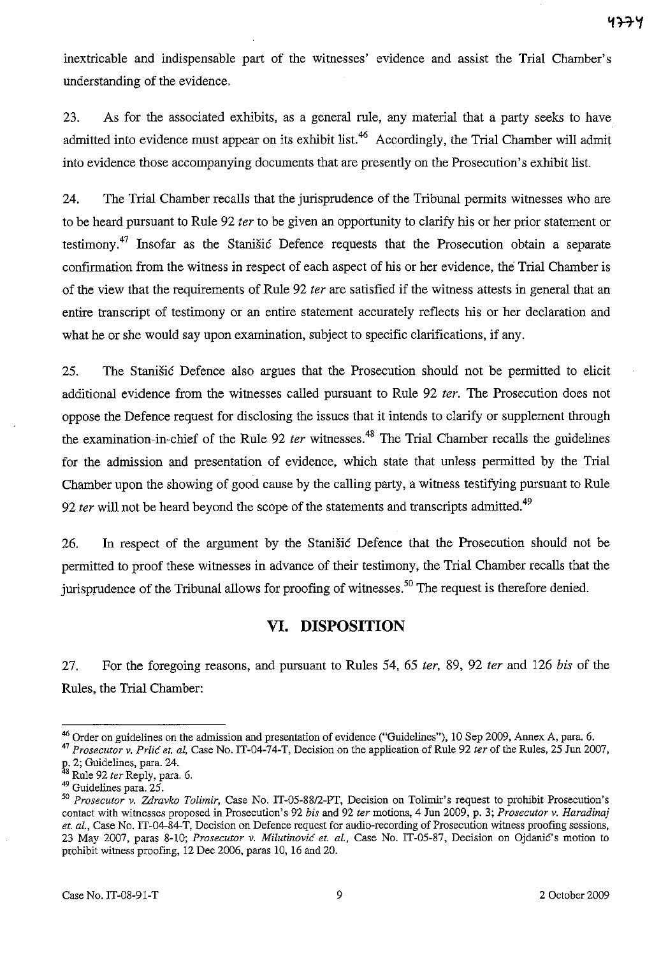inextricable and indispensable part of the witnesses' evidence and assist the Trial Chamber's understanding of the evidence.

23. As for the associated exhibits, as a general rule, any material that a party seeks to have admitted into evidence must appear on its exhibit list.<sup>46</sup> Accordingly, the Trial Chamber will admit into evidence those accompanying documents that are presently on the Prosecution's exhibit list.

24. The Trial Chamber recalls that the jurisprudence of the Tribunal permits witnesses who are to be heard pursuant to Rule 92 *ter* to be given an opportunity to clarify his or her prior statement or testimony.47 Insofar as the Stanisic Defence requests that the Prosecution obtain a separate confirmation from the witness in respect of each aspect of his or her evidence, the Trial Chamber is of the view that the requirements of Rule 92 *ter* are satisfied if the witness attests in general that an entire transcript of testimony or an entire statement accurately reflects his or her declaration and what he or she would say upon examination, subject to specific clarifications, if any.

25. The Stanisic Defence also argues that the Prosecution should not be permitted to elicit additional evidence from the witnesses called pursuant to Rule 92 *ter.* The Prosecution does not oppose the Defence request for disclosing the issues that it intends to clarify or supplement through the examination-in-chief of the Rule 92 *ter* witnesses.<sup>48</sup> The Trial Chamber recalls the guidelines for the admission and presentation of evidence, which state that unless permitted by the Trial Chamber upon the showing of good cause by the calling party, a witness testifying pursuant to Rule *92 ter* will not be heard beyond the scope of the statements and transcripts admitted.<sup>49</sup>

26. In respect of the argument by the Stanisic Defence that the Prosecution should not be permitted to proof these witnesses in advance of their testimony, the Trial Chamber recalls that the jurisprudence of the Tribunal allows for proofing of witnesses.<sup>50</sup> The request is therefore denied.

### **VI. DISPOSITION**

27. For the foregoing reasons, and pursuant to Rules 54, 65 *ter,* 89, 92 *ter* and 126 *bis* of the Rules, the Trial Chamber:

<sup>&</sup>lt;sup>46</sup> Order on guidelines on the admission and presentation of evidence ("Guidelines"), 10 Sep 2009, Annex A, para. 6.

<sup>47</sup>*Prosecutor v. Prlic et. al.* Case No. IT-04-74-T, Decision on the application of Rule 92 *ter* of the Rules, 25 Jun 2007,

p,. 2; Guidelines, para. 24.

<sup>8</sup> Rule 92 *ter* Reply, para. 6.

<sup>49</sup> Guidelines para. 25.

*<sup>50</sup> Prosecutor v. Zdravko Tolimir,* Case No. IT-05-88/2-PT, Decision on Tolimir's request to prohibit Prosecution's contact with witnesses proposed in Prosecution's 92 *bis* and 92 *ter* motions, 4 Jun 2009, p. 3; *Prosecutor v. Haradinaj et. al.,* Case No. IT-04-84-T, Decision on Defence request for audio-recording of Prosecution witness proofing sessions, 23 May 2007, paras 8-10; Prosecutor v. Milutinović et. al., Case No. IT-05-87, Decision on Ojdanić's motion to prohibit witness proofing, 12 Dec 2006, paras 10, 16 and 20.